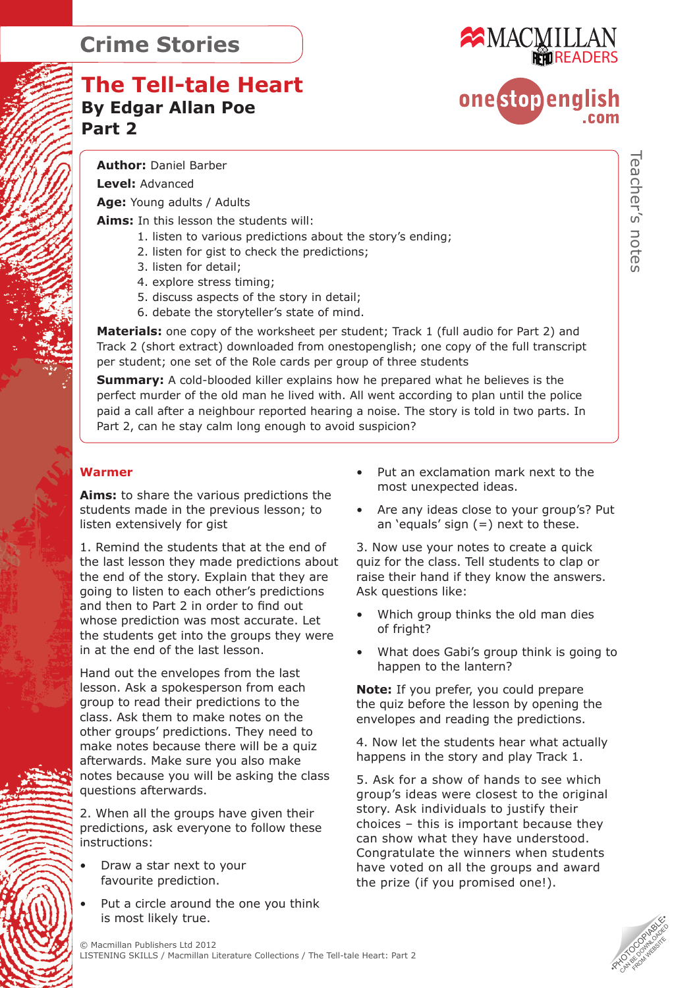# **The Tell-tale Heart By Edgar Allan Poe Part 2**



# onestopenglish

**Author:** Daniel Barber

**Level:** Advanced

**Age:** Young adults / Adults

**Aims:** In this lesson the students will:

- 1. listen to various predictions about the story's ending;
- 2. listen for gist to check the predictions;
- 3. listen for detail;
- 4. explore stress timing;
- 5. discuss aspects of the story in detail;
- 6. debate the storyteller's state of mind.

**Materials:** one copy of the worksheet per student; Track 1 (full audio for Part 2) and Track 2 (short extract) downloaded from onestopenglish; one copy of the full transcript per student; one set of the Role cards per group of three students

**Summary:** A cold-blooded killer explains how he prepared what he believes is the perfect murder of the old man he lived with. All went according to plan until the police paid a call after a neighbour reported hearing a noise. The story is told in two parts. In Part 2, can he stay calm long enough to avoid suspicion?

#### **Warmer**

**Aims:** to share the various predictions the students made in the previous lesson; to listen extensively for gist

1. Remind the students that at the end of the last lesson they made predictions about the end of the story. Explain that they are going to listen to each other's predictions and then to Part 2 in order to find out whose prediction was most accurate. Let the students get into the groups they were in at the end of the last lesson.

Hand out the envelopes from the last lesson. Ask a spokesperson from each group to read their predictions to the class. Ask them to make notes on the other groups' predictions. They need to make notes because there will be a quiz afterwards. Make sure you also make notes because you will be asking the class questions afterwards.

2. When all the groups have given their predictions, ask everyone to follow these instructions:

- Draw a star next to your favourite prediction.
- Put a circle around the one you think is most likely true.
- Put an exclamation mark next to the most unexpected ideas.
- Are any ideas close to your group's? Put an 'equals' sign  $(=)$  next to these.

3. Now use your notes to create a quick quiz for the class. Tell students to clap or raise their hand if they know the answers. Ask questions like:

- Which group thinks the old man dies of fright?
- What does Gabi's group think is going to happen to the lantern?

**Note:** If you prefer, you could prepare the quiz before the lesson by opening the envelopes and reading the predictions.

4. Now let the students hear what actually happens in the story and play Track 1.

5. Ask for a show of hands to see which group's ideas were closest to the original story. Ask individuals to justify their choices – this is important because they can show what they have understood. Congratulate the winners when students have voted on all the groups and award the prize (if you promised one!).

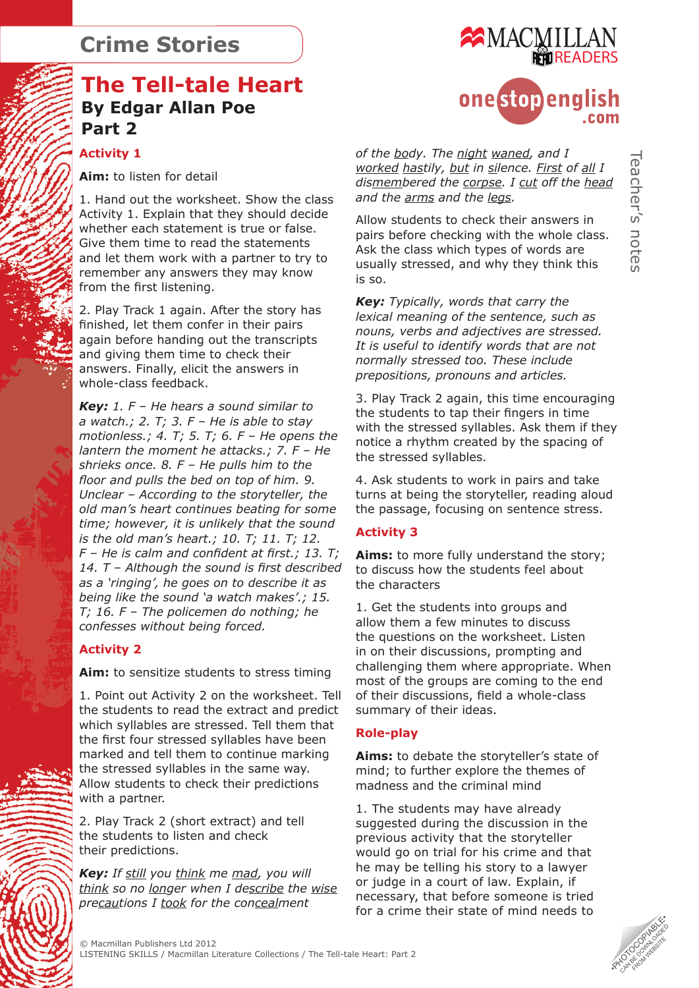## **The Tell-tale Heart By Edgar Allan Poe Part 2**

#### **Activity 1**

**Aim:** to listen for detail

1. Hand out the worksheet. Show the class Activity 1. Explain that they should decide whether each statement is true or false. Give them time to read the statements and let them work with a partner to try to remember any answers they may know from the first listening.

2. Play Track 1 again. After the story has finished, let them confer in their pairs again before handing out the transcripts and giving them time to check their answers. Finally, elicit the answers in whole-class feedback.

*Key: 1. F – He hears a sound similar to a watch.; 2. T; 3. F – He is able to stay motionless.; 4. T; 5. T; 6. F – He opens the lantern the moment he attacks.; 7. F – He shrieks once. 8. F – He pulls him to the floor and pulls the bed on top of him. 9. Unclear – According to the storyteller, the old man's heart continues beating for some time; however, it is unlikely that the sound is the old man's heart.; 10. T; 11. T; 12. F – He is calm and confident at first.; 13. T; 14. T – Although the sound is first described as a 'ringing', he goes on to describe it as being like the sound 'a watch makes'.; 15. T; 16. F – The policemen do nothing; he confesses without being forced.*

#### **Activity 2**

**Aim:** to sensitize students to stress timing

1. Point out Activity 2 on the worksheet. Tell the students to read the extract and predict which syllables are stressed. Tell them that the first four stressed syllables have been marked and tell them to continue marking the stressed syllables in the same way. Allow students to check their predictions with a partner.

2. Play Track 2 (short extract) and tell the students to listen and check their predictions.

*Key: If still you think me mad, you will think so no longer when I describe the wise precautions I took for the concealment* 



# onestopenglish

*of the body. The night waned, and I worked hastily, but in silence. First of all I dismembered the corpse. I cut off the head and the arms and the legs.*

Allow students to check their answers in pairs before checking with the whole class. Ask the class which types of words are usually stressed, and why they think this is so.

*Key: Typically, words that carry the lexical meaning of the sentence, such as nouns, verbs and adjectives are stressed. It is useful to identify words that are not normally stressed too. These include prepositions, pronouns and articles.*

3. Play Track 2 again, this time encouraging the students to tap their fingers in time with the stressed syllables. Ask them if they notice a rhythm created by the spacing of the stressed syllables.

4. Ask students to work in pairs and take turns at being the storyteller, reading aloud the passage, focusing on sentence stress.

#### **Activity 3**

**Aims:** to more fully understand the story; to discuss how the students feel about the characters

1. Get the students into groups and allow them a few minutes to discuss the questions on the worksheet. Listen in on their discussions, prompting and challenging them where appropriate. When most of the groups are coming to the end of their discussions, field a whole-class summary of their ideas.

#### **Role-play**

**Aims:** to debate the storyteller's state of mind; to further explore the themes of madness and the criminal mind

1. The students may have already suggested during the discussion in the previous activity that the storyteller would go on trial for his crime and that he may be telling his story to a lawyer or judge in a court of law. Explain, if necessary, that before someone is tried for a crime their state of mind needs to

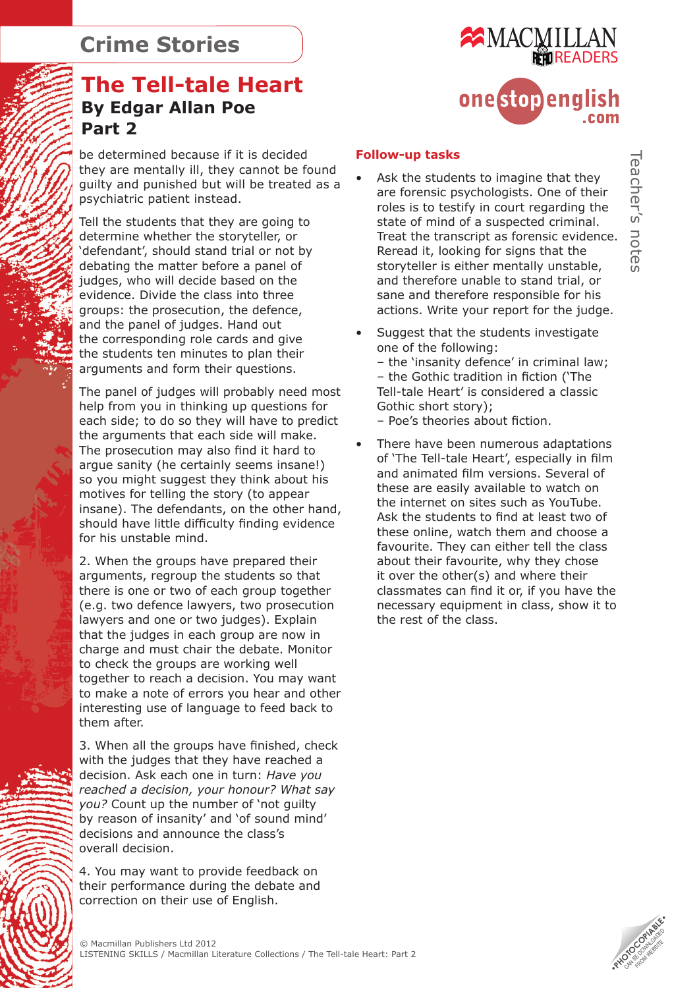# **The Tell-tale Heart By Edgar Allan Poe Part 2**

be determined because if it is decided they are mentally ill, they cannot be found guilty and punished but will be treated as a psychiatric patient instead.

Tell the students that they are going to determine whether the storyteller, or 'defendant', should stand trial or not by debating the matter before a panel of judges, who will decide based on the evidence. Divide the class into three groups: the prosecution, the defence, and the panel of judges. Hand out the corresponding role cards and give the students ten minutes to plan their arguments and form their questions.

The panel of judges will probably need most help from you in thinking up questions for each side; to do so they will have to predict the arguments that each side will make. The prosecution may also find it hard to argue sanity (he certainly seems insane!) so you might suggest they think about his motives for telling the story (to appear insane). The defendants, on the other hand, should have little difficulty finding evidence for his unstable mind.

2. When the groups have prepared their arguments, regroup the students so that there is one or two of each group together (e.g. two defence lawyers, two prosecution lawyers and one or two judges). Explain that the judges in each group are now in charge and must chair the debate. Monitor to check the groups are working well together to reach a decision. You may want to make a note of errors you hear and other interesting use of language to feed back to them after.

3. When all the groups have finished, check with the judges that they have reached a decision. Ask each one in turn: *Have you reached a decision, your honour? What say you?* Count up the number of 'not guilty by reason of insanity' and 'of sound mind' decisions and announce the class's overall decision.

4. You may want to provide feedback on their performance during the debate and correction on their use of English.



#### **Follow-up tasks**

- Ask the students to imagine that they are forensic psychologists. One of their roles is to testify in court regarding the state of mind of a suspected criminal. Treat the transcript as forensic evidence. Reread it, looking for signs that the storyteller is either mentally unstable, and therefore unable to stand trial, or sane and therefore responsible for his actions. Write your report for the judge.
- Suggest that the students investigate one of the following: – the 'insanity defence' in criminal law; – the Gothic tradition in fiction ('The Tell-tale Heart' is considered a classic Gothic short story);

– Poe's theories about fiction.

There have been numerous adaptations of 'The Tell-tale Heart', especially in film and animated film versions. Several of these are easily available to watch on the internet on sites such as YouTube. Ask the students to find at least two of these online, watch them and choose a favourite. They can either tell the class about their favourite, why they chose it over the other(s) and where their classmates can find it or, if you have the necessary equipment in class, show it to the rest of the class.

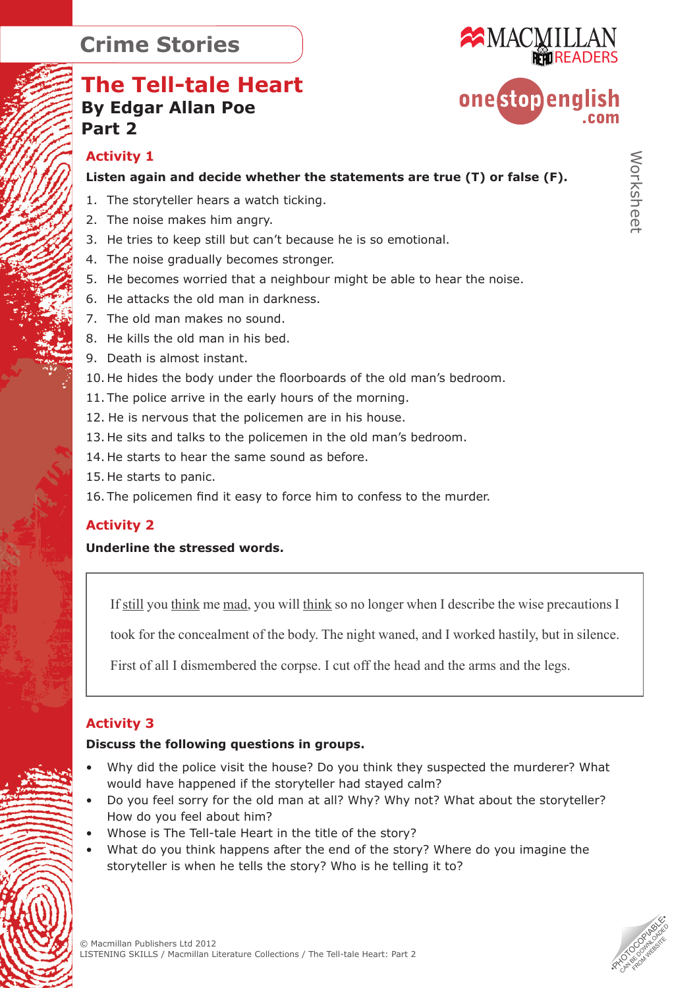# **The Tell-tale Heart By Edgar Allan Poe Part 2**



# Worksheet

#### **Activity 1**

**Listen again and decide whether the statements are true (T) or false (F).**

- 1. The storyteller hears a watch ticking.
- 2. The noise makes him angry.
- 3. He tries to keep still but can't because he is so emotional.
- 4. The noise gradually becomes stronger.
- 5. He becomes worried that a neighbour might be able to hear the noise.
- 6. He attacks the old man in darkness.
- 7. The old man makes no sound.
- 8. He kills the old man in his bed.
- 9. Death is almost instant.
- 10. He hides the body under the floorboards of the old man's bedroom.
- 11. The police arrive in the early hours of the morning.
- 12. He is nervous that the policemen are in his house.
- 13. He sits and talks to the policemen in the old man's bedroom.
- 14. He starts to hear the same sound as before.
- 15. He starts to panic.
- 16. The policemen find it easy to force him to confess to the murder.

#### **Activity 2**

#### **Underline the stressed words.**

If still you think me mad, you will think so no longer when I describe the wise precautions I

took for the concealment of the body. The night waned, and I worked hastily, but in silence.

First of all I dismembered the corpse. I cut off the head and the arms and the legs.

#### **Activity 3**

#### **Discuss the following questions in groups.**

- Why did the police visit the house? Do you think they suspected the murderer? What would have happened if the storyteller had stayed calm?
- Do you feel sorry for the old man at all? Why? Why not? What about the storyteller? How do you feel about him?
- Whose is The Tell-tale Heart in the title of the story?
- What do you think happens after the end of the story? Where do you imagine the storyteller is when he tells the story? Who is he telling it to?

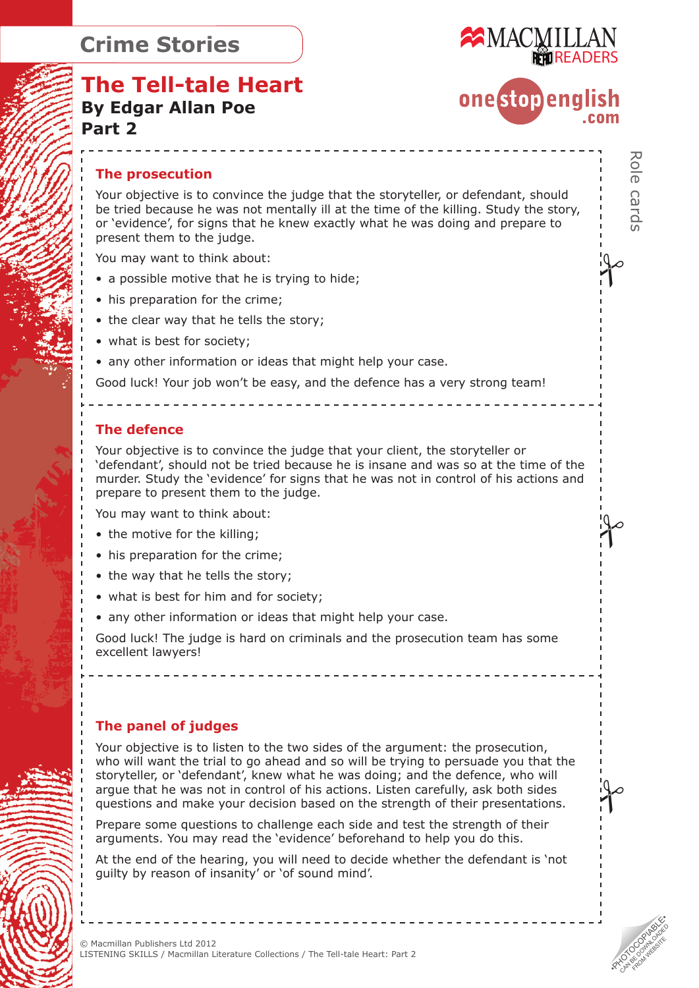

onestopenalish

.<br>|-<br>|

Role cards

 $\int$ 

:90<br>|-<br>|

## **The Tell-tale Heart By Edgar Allan Poe Part 2**

#### **The prosecution**

Your objective is to convince the judge that the storyteller, or defendant, should be tried because he was not mentally ill at the time of the killing. Study the story, or 'evidence', for signs that he knew exactly what he was doing and prepare to present them to the judge.

You may want to think about:

- a possible motive that he is trying to hide;
- his preparation for the crime;
- the clear way that he tells the story;
- what is best for society;
- any other information or ideas that might help your case.

Good luck! Your job won't be easy, and the defence has a very strong team!

#### **The defence**

Your objective is to convince the judge that your client, the storyteller or 'defendant', should not be tried because he is insane and was so at the time of the murder. Study the 'evidence' for signs that he was not in control of his actions and prepare to present them to the judge.

You may want to think about:

- the motive for the killing:
- his preparation for the crime;
- the way that he tells the story;
- what is best for him and for society;
- any other information or ideas that might help your case.

Good luck! The judge is hard on criminals and the prosecution team has some excellent lawyers!

#### **The panel of judges**

Your objective is to listen to the two sides of the argument: the prosecution, who will want the trial to go ahead and so will be trying to persuade you that the storyteller, or 'defendant', knew what he was doing; and the defence, who will argue that he was not in control of his actions. Listen carefully, ask both sides questions and make your decision based on the strength of their presentations.

Prepare some questions to challenge each side and test the strength of their arguments. You may read the 'evidence' beforehand to help you do this.

At the end of the hearing, you will need to decide whether the defendant is 'not guilty by reason of insanity' or 'of sound mind'.

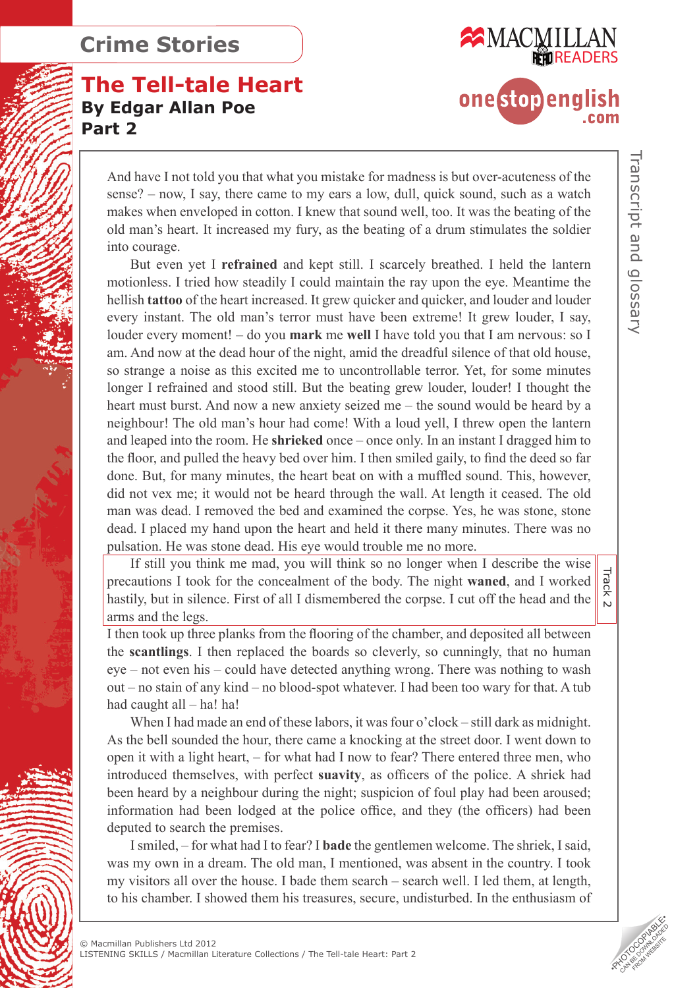# **The Tell-tale Heart By Edgar Allan Poe Part 2**



And have I not told you that what you mistake for madness is but over-acuteness of the sense? – now, I say, there came to my ears a low, dull, quick sound, such as a watch makes when enveloped in cotton. I knew that sound well, too. It was the beating of the old man's heart. It increased my fury, as the beating of a drum stimulates the soldier into courage.

But even yet I **refrained** and kept still. I scarcely breathed. I held the lantern motionless. I tried how steadily I could maintain the ray upon the eye. Meantime the hellish **tattoo** of the heart increased. It grew quicker and quicker, and louder and louder every instant. The old man's terror must have been extreme! It grew louder, I say, louder every moment! – do you **mark** me **well** I have told you that I am nervous: so I am. And now at the dead hour of the night, amid the dreadful silence of that old house, so strange a noise as this excited me to uncontrollable terror. Yet, for some minutes longer I refrained and stood still. But the beating grew louder, louder! I thought the heart must burst. And now a new anxiety seized me – the sound would be heard by a neighbour! The old man's hour had come! With a loud yell, I threw open the lantern and leaped into the room. He **shrieked** once – once only. In an instant I dragged him to the floor, and pulled the heavy bed over him. I then smiled gaily, to find the deed so far done. But, for many minutes, the heart beat on with a muffled sound. This, however, did not vex me; it would not be heard through the wall. At length it ceased. The old man was dead. I removed the bed and examined the corpse. Yes, he was stone, stone dead. I placed my hand upon the heart and held it there many minutes. There was no pulsation. He was stone dead. His eye would trouble me no more.

If still you think me mad, you will think so no longer when I describe the wise precautions I took for the concealment of the body. The night **waned**, and I worked hastily, but in silence. First of all I dismembered the corpse. I cut off the head and the arms and the legs.

I then took up three planks from the flooring of the chamber, and deposited all between the **scantlings**. I then replaced the boards so cleverly, so cunningly, that no human eye – not even his – could have detected anything wrong. There was nothing to wash out – no stain of any kind – no blood-spot whatever. I had been too wary for that. A tub had caught all – ha! ha!

When I had made an end of these labors, it was four o'clock – still dark as midnight. As the bell sounded the hour, there came a knocking at the street door. I went down to open it with a light heart, – for what had I now to fear? There entered three men, who introduced themselves, with perfect **suavity**, as officers of the police. A shriek had been heard by a neighbour during the night; suspicion of foul play had been aroused; information had been lodged at the police office, and they (the officers) had been deputed to search the premises.

I smiled, – for what had I to fear? I **bade** the gentlemen welcome. The shriek, I said, was my own in a dream. The old man, I mentioned, was absent in the country. I took my visitors all over the house. I bade them search – search well. I led them, at length, to his chamber. I showed them his treasures, secure, undisturbed. In the enthusiasm of

 $\overline{5}$ 

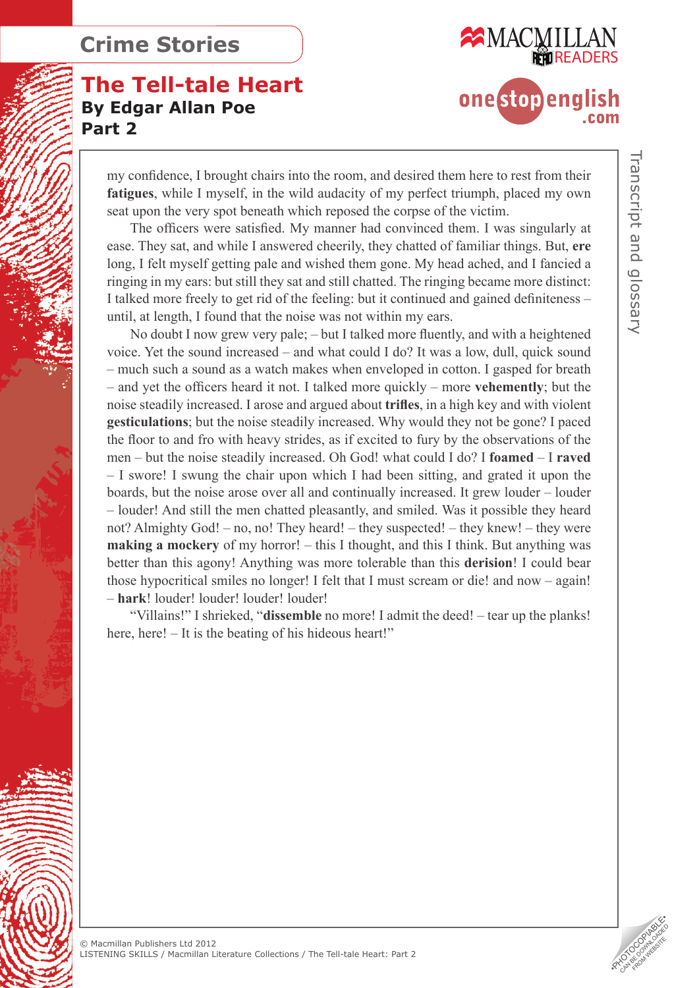# **The Tell-tale Heart By Edgar Allan Poe Part 2**



my confidence, I brought chairs into the room, and desired them here to rest from their **fatigues**, while I myself, in the wild audacity of my perfect triumph, placed my own seat upon the very spot beneath which reposed the corpse of the victim.

The officers were satisfied. My manner had convinced them. I was singularly at ease. They sat, and while I answered cheerily, they chatted of familiar things. But, **ere** long, I felt myself getting pale and wished them gone. My head ached, and I fancied a ringing in my ears: but still they sat and still chatted. The ringing became more distinct: I talked more freely to get rid of the feeling: but it continued and gained definiteness – until, at length, I found that the noise was not within my ears.

No doubt I now grew very pale; – but I talked more fluently, and with a heightened voice. Yet the sound increased – and what could I do? It was a low, dull, quick sound – much such a sound as a watch makes when enveloped in cotton. I gasped for breath – and yet the officers heard it not. I talked more quickly – more **vehemently**; but the noise steadily increased. I arose and argued about **trifles**, in a high key and with violent **gesticulations**; but the noise steadily increased. Why would they not be gone? I paced the floor to and fro with heavy strides, as if excited to fury by the observations of the men – but the noise steadily increased. Oh God! what could I do? I **foamed** – I **raved** – I swore! I swung the chair upon which I had been sitting, and grated it upon the boards, but the noise arose over all and continually increased. It grew louder – louder – louder! And still the men chatted pleasantly, and smiled. Was it possible they heard not? Almighty God! – no, no! They heard! – they suspected! – they knew! – they were **making a mockery** of my horror! – this I thought, and this I think. But anything was better than this agony! Anything was more tolerable than this **derision**! I could bear those hypocritical smiles no longer! I felt that I must scream or die! and now – again! – **hark**! louder! louder! louder! louder!

"Villains!" I shrieked, "**dissemble** no more! I admit the deed! – tear up the planks! here, here! – It is the beating of his hideous heart!"